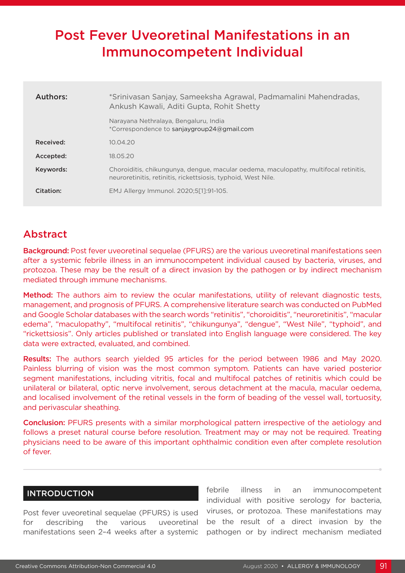# Post Fever Uveoretinal Manifestations in an Immunocompetent Individual

| Authors:  | *Srinivasan Sanjay, Sameeksha Agrawal, Padmamalini Mahendradas,<br>Ankush Kawali, Aditi Gupta, Rohit Shetty                                           |
|-----------|-------------------------------------------------------------------------------------------------------------------------------------------------------|
|           | Narayana Nethralaya, Bengaluru, India<br>*Correspondence to sanjaygroup24@gmail.com                                                                   |
| Received: | 10.04.20                                                                                                                                              |
| Accepted: | 18.05.20                                                                                                                                              |
| Keywords: | Choroiditis, chikungunya, dengue, macular oedema, maculopathy, multifocal retinitis,<br>neuroretinitis, retinitis, rickettsiosis, typhoid, West Nile. |
| Citation: | EMJ Allergy Immunol. 2020;5[1]:91-105.                                                                                                                |

# Abstract

**Background:** Post fever uveoretinal sequelae (PFURS) are the various uveoretinal manifestations seen after a systemic febrile illness in an immunocompetent individual caused by bacteria, viruses, and protozoa. These may be the result of a direct invasion by the pathogen or by indirect mechanism mediated through immune mechanisms.

Method: The authors aim to review the ocular manifestations, utility of relevant diagnostic tests, management, and prognosis of PFURS. A comprehensive literature search was conducted on PubMed and Google Scholar databases with the search words "retinitis", "choroiditis", "neuroretinitis", "macular edema", "maculopathy", "multifocal retinitis", "chikungunya", "dengue", "West Nile", "typhoid", and "rickettsiosis". Only articles published or translated into English language were considered. The key data were extracted, evaluated, and combined.

Results: The authors search yielded 95 articles for the period between 1986 and May 2020. Painless blurring of vision was the most common symptom. Patients can have varied posterior segment manifestations, including vitritis, focal and multifocal patches of retinitis which could be unilateral or bilateral, optic nerve involvement, serous detachment at the macula, macular oedema, and localised involvement of the retinal vessels in the form of beading of the vessel wall, tortuosity, and perivascular sheathing.

Conclusion: PFURS presents with a similar morphological pattern irrespective of the aetiology and follows a preset natural course before resolution. Treatment may or may not be required. Treating physicians need to be aware of this important ophthalmic condition even after complete resolution of fever.

## INTRODUCTION

Post fever uveoretinal sequelae (PFURS) is used for describing the various uveoretinal manifestations seen 2–4 weeks after a systemic febrile illness in an immunocompetent individual with positive serology for bacteria, viruses, or protozoa. These manifestations may be the result of a direct invasion by the pathogen or by indirect mechanism mediated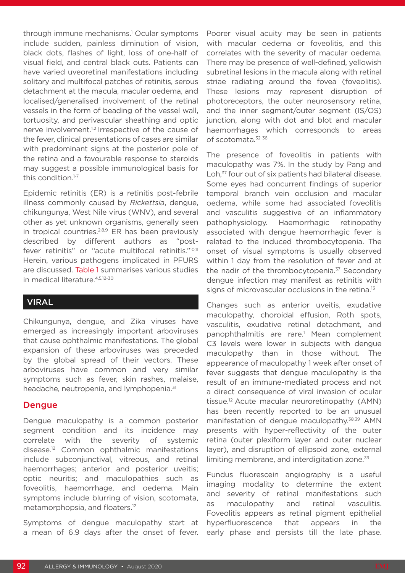through immune mechanisms.1 Ocular symptoms include sudden, painless diminution of vision, black dots, flashes of light, loss of one-half of visual field, and central black outs. Patients can have varied uveoretinal manifestations including solitary and multifocal patches of retinitis, serous detachment at the macula, macular oedema, and localised/generalised involvement of the retinal vessels in the form of beading of the vessel wall, tortuosity, and perivascular sheathing and optic nerve involvement.<sup>1,2</sup> Irrespective of the cause of the fever, clinical presentations of cases are similar with predominant signs at the posterior pole of the retina and a favourable response to steroids may suggest a possible immunological basis for this condition.1-7

Epidemic retinitis (ER) is a retinitis post-febrile illness commonly caused by *Rickettsia*, dengue, chikungunya, West Nile virus (WNV), and several other as yet unknown organisms, generally seen in tropical countries.<sup>2,8,9</sup> ER has been previously described by different authors as "postfever retinitis" or "acute multifocal retinitis."10,11 Herein, various pathogens implicated in PFURS are discussed. Table 1 summarises various studies in medical literature.4,5,12-30

## VIRAL

Chikungunya, dengue, and Zika viruses have emerged as increasingly important arboviruses that cause ophthalmic manifestations. The global expansion of these arboviruses was preceded by the global spread of their vectors. These arboviruses have common and very similar symptoms such as fever, skin rashes, malaise, headache, neutropenia, and lymphopenia.<sup>31</sup>

#### Dengue

Dengue maculopathy is a common posterior segment condition and its incidence may correlate with the severity of systemic disease.12 Common ophthalmic manifestations include subconjunctival, vitreous, and retinal haemorrhages; anterior and posterior uveitis; optic neuritis; and maculopathies such as foveolitis, haemorrhage, and oedema. Main symptoms include blurring of vision, scotomata, metamorphopsia, and floaters.12

Symptoms of dengue maculopathy start at a mean of 6.9 days after the onset of fever.

Poorer visual acuity may be seen in patients with macular oedema or foveolitis, and this correlates with the severity of macular oedema. There may be presence of well-defined, yellowish subretinal lesions in the macula along with retinal striae radiating around the fovea (foveolitis). These lesions may represent disruption of photoreceptors, the outer neurosensory retina, and the inner segment/outer segment (IS/OS) junction, along with dot and blot and macular haemorrhages which corresponds to areas of scotomata.32-36

The presence of foveolitis in patients with maculopathy was 7%. In the study by Pang and Loh,<sup>37</sup> four out of six patients had bilateral disease. Some eyes had concurrent findings of superior temporal branch vein occlusion and macular oedema, while some had associated foveolitis and vasculitis suggestive of an inflammatory pathophysiology. Haemorrhagic retinopathy associated with dengue haemorrhagic fever is related to the induced thrombocytopenia. The onset of visual symptoms is usually observed within 1 day from the resolution of fever and at the nadir of the thrombocytopenia.<sup>37</sup> Secondary dengue infection may manifest as retinitis with signs of microvascular occlusions in the retina.<sup>13</sup>

Changes such as anterior uveitis, exudative maculopathy, choroidal effusion, Roth spots, vasculitis, exudative retinal detachment, and panophthalmitis are rare.<sup>1</sup> Mean complement C3 levels were lower in subjects with dengue maculopathy than in those without. The appearance of maculopathy 1 week after onset of fever suggests that dengue maculopathy is the result of an immune-mediated process and not a direct consequence of viral invasion of ocular tissue.12 Acute macular neuroretinopathy (AMN) has been recently reported to be an unusual manifestation of dengue maculopathy.38,39 AMN presents with hyper-reflectivity of the outer retina (outer plexiform layer and outer nuclear layer), and disruption of ellipsoid zone, external limiting membrane, and interdigitation zone.<sup>39</sup>

Fundus fluorescein angiography is a useful imaging modality to determine the extent and severity of retinal manifestations such as maculopathy and retinal vasculitis. Foveolitis appears as retinal pigment epithelial hyperfluorescence that appears in the early phase and persists till the late phase.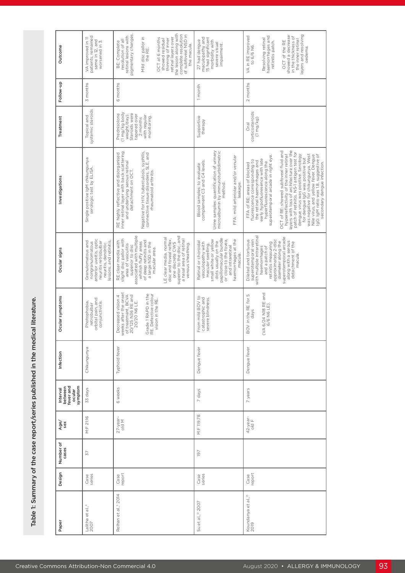| Outcome<br>Follow-up<br>Treatment                     | VA improved in 11<br>patients, remained<br>same in 12, and<br>worsened in 3.<br>3 months                                                   | retinal lesions with<br>pigmentary changes.<br>Mild disc pallor in<br>the RE.<br>OCT at 6 months<br>resolution of all<br>BE: Complete<br>6 months                                                                              | the lesion along with<br>complete resolution<br>of subfoveal NSD in<br>retinal layers over<br>showed residual<br>thinning of inner<br>the macula.  | maculopathy and<br>15 had significant<br>27 had dengue         | morbidity with<br>severe visual<br>impairment.                                                  |                                                    | to 6/6 N6.                                                                                   |                                                                                                       | oedema.                                                                                                                                                                                                                                                                                   |                                                                                                              |
|-------------------------------------------------------|--------------------------------------------------------------------------------------------------------------------------------------------|--------------------------------------------------------------------------------------------------------------------------------------------------------------------------------------------------------------------------------|----------------------------------------------------------------------------------------------------------------------------------------------------|----------------------------------------------------------------|-------------------------------------------------------------------------------------------------|----------------------------------------------------|----------------------------------------------------------------------------------------------|-------------------------------------------------------------------------------------------------------|-------------------------------------------------------------------------------------------------------------------------------------------------------------------------------------------------------------------------------------------------------------------------------------------|--------------------------------------------------------------------------------------------------------------|
|                                                       |                                                                                                                                            |                                                                                                                                                                                                                                |                                                                                                                                                    |                                                                |                                                                                                 |                                                    | VA in RE improved                                                                            | haemorrhages and<br>Resolving retinal<br>retinitis patch.                                             | layers and resolving<br>showed a decrease<br>in the thickness of<br>the inner retinal<br>OCT of the RE                                                                                                                                                                                    |                                                                                                              |
|                                                       |                                                                                                                                            |                                                                                                                                                                                                                                |                                                                                                                                                    | 1 month                                                        |                                                                                                 |                                                    | 2 months                                                                                     |                                                                                                       |                                                                                                                                                                                                                                                                                           |                                                                                                              |
|                                                       | systemic steroids<br>Topical and                                                                                                           | (1 mg/kg body<br>weight/day).<br>Steroids were<br>Prednisolone<br>tapered over<br>with regular<br>monitoring.<br>2 months                                                                                                      |                                                                                                                                                    | Supportive<br>therapy                                          |                                                                                                 |                                                    | corticosteroids<br>$(1 \, mg/kg)$<br>Oral                                                    |                                                                                                       |                                                                                                                                                                                                                                                                                           |                                                                                                              |
| Investigations                                        | Single positive IgM chikungunya<br>serologic test by ELISA.                                                                                | RE highly reflective and disorganised<br>inner retinal layer with back scattering<br>and understment on Octinal<br>Negative for HIV, tuberculosis, syphilis,<br>connective tissue disorders, SLE, and<br>rheumatoid arthritis. |                                                                                                                                                    | complement C3 and C4 levels.<br>Blood samples: to evaluate     | Urine samples: quantification of urinary<br>microalbumin by immunoturbidimetric<br>method.      | FFA: mild arteriolar and/or venular<br>leakage.    | fluorescence corresponding to<br>the retinal haemorrhages and<br>FFA of RE: areas of blocked | hyperfluorescence along the<br>superotemporal arcade in right eye.<br>early hypofluoresence with late | hyperreflectivity of the inner retinal<br>layers with loss of architecture over the<br>patch of retinitis. NS-1 antigen test for<br>OCT of RE: showed subfoveal fluid and<br>was negative for chikungunya, West<br>dengue virus was positive. Serology<br>for dengue IgG was positive but | Nile virus, and yellow fever. Dengue<br>IgG: IgM ratio was 1.8, suggestive of<br>secondary dengue infection. |
| Ocular signs                                          | anterior uveitis, optic<br>lesions, and retinitis.<br>Granulomatous and<br>neuritis retrobulbar<br>nongranulomatous<br>neuritis, dendritic | associated with multiple<br>slight disc pallor with<br>of deep retinitis and<br>a large NSD in the<br>RE clear media with<br>whitish fluffy areas<br>area of vasculitis<br>superior to disc<br>macular area.                   | superior to the disc, and<br>a nasal area of retinal<br>LE clear media, normal<br>disc and foveal reflex,<br>one discrete CWS<br>venous sheathing. | Retinal or choroidal<br>vasculopathy with<br>macular swelling, | papillomacular bundle<br>small white or yellow<br>or close to the fovea,<br>dots usually on the | haemorrhages at the<br>and intraretinal<br>macula. | with multiple intraretinal<br>Dilated and tortuous<br>superotemporal vein                    | approximately 2-disc<br>and a patch of<br>retinitis measuring<br>haemorrhages                         | superotemporal arcade<br>along with a serous<br>detachment of the<br>diameter along the<br>macula.                                                                                                                                                                                        |                                                                                                              |
| Ocular symptoms                                       | orbital pain, and<br>Photophobia,<br>conjunctivitis.<br>retrobulbar                                                                        | weeks after the onset<br>of treatment, BCVA<br>20/125 N36 RE and<br>20/20 N6 LE.<br>Grade 1 RAPD in the<br>RE. Defective colour<br>vision in the RE.<br>Decreased vision 4                                                     |                                                                                                                                                    | From mild BOV to<br>catastrophic and<br>severe blindness.      |                                                                                                 |                                                    | BOV in the RE for 5<br>days                                                                  | (VA $6/24$ N18 RE and<br>$6/6$ N6 LE).                                                                |                                                                                                                                                                                                                                                                                           |                                                                                                              |
| Infection                                             | Chikungunya                                                                                                                                | Typhoid fever                                                                                                                                                                                                                  |                                                                                                                                                    | Dengue fever                                                   |                                                                                                 |                                                    | Dengue fever                                                                                 |                                                                                                       |                                                                                                                                                                                                                                                                                           |                                                                                                              |
| Interval<br>between<br>fever and<br>ocular<br>symptom | 33 days                                                                                                                                    | 6 weeks                                                                                                                                                                                                                        |                                                                                                                                                    | days<br>$\overline{C}$                                         |                                                                                                 |                                                    | years<br>$\overline{\phantom{a}}$                                                            |                                                                                                       |                                                                                                                                                                                                                                                                                           |                                                                                                              |
| Age/                                                  | M:F 21:16                                                                                                                                  | 27-year-<br>old M                                                                                                                                                                                                              |                                                                                                                                                    | M:F 119:78                                                     |                                                                                                 |                                                    | 42-year-<br>old F                                                                            |                                                                                                       |                                                                                                                                                                                                                                                                                           |                                                                                                              |
| Number of<br>cases                                    | 57                                                                                                                                         |                                                                                                                                                                                                                                |                                                                                                                                                    | 197                                                            |                                                                                                 |                                                    |                                                                                              |                                                                                                       |                                                                                                                                                                                                                                                                                           |                                                                                                              |
| Design                                                | Case<br>series                                                                                                                             | Case<br>report                                                                                                                                                                                                                 |                                                                                                                                                    | Case<br>series                                                 |                                                                                                 |                                                    | Case<br>report                                                                               |                                                                                                       |                                                                                                                                                                                                                                                                                           |                                                                                                              |
| Paper                                                 | Lalitha et al., <sup>4</sup><br>2007                                                                                                       | Relhan et al., <sup>5</sup> 2014                                                                                                                                                                                               |                                                                                                                                                    | Su et al., <sup>12</sup> 2007                                  |                                                                                                 |                                                    | Koundanya et al., <sup>13</sup><br>2019                                                      |                                                                                                       |                                                                                                                                                                                                                                                                                           |                                                                                                              |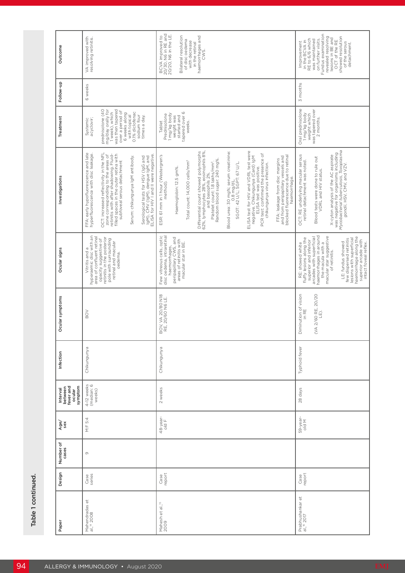| Outcome                                               | VA improved with<br>resolving retinitis.                                                                                                                                                                                                                                                                                                                                                                                              | BCVA improved to<br>20/30, N6 in RE and<br>20/20, N6 in the LE.<br>in the retinal<br>haemorrhages and<br>Bilateral resolution<br>of disc oedema<br>with decrease<br>CWS.                                                                                                                                                                                                                                                                                                                                                                                                                                                                                                                                                         | Fundus examination<br>showed resolution<br>of the serous<br>revealed resolving<br>lesions in BE and<br>OCT of the RE<br>in the BCVA in<br>RE to 6/6 which<br>was maintained<br>on further visits.<br>Improvement<br>detachment.                                                                                                                    |
|-------------------------------------------------------|---------------------------------------------------------------------------------------------------------------------------------------------------------------------------------------------------------------------------------------------------------------------------------------------------------------------------------------------------------------------------------------------------------------------------------------|----------------------------------------------------------------------------------------------------------------------------------------------------------------------------------------------------------------------------------------------------------------------------------------------------------------------------------------------------------------------------------------------------------------------------------------------------------------------------------------------------------------------------------------------------------------------------------------------------------------------------------------------------------------------------------------------------------------------------------|----------------------------------------------------------------------------------------------------------------------------------------------------------------------------------------------------------------------------------------------------------------------------------------------------------------------------------------------------|
| Follow-up                                             | 6 weeks                                                                                                                                                                                                                                                                                                                                                                                                                               |                                                                                                                                                                                                                                                                                                                                                                                                                                                                                                                                                                                                                                                                                                                                  | 3 months                                                                                                                                                                                                                                                                                                                                           |
| Treatment                                             | prednisolone (40<br>mg/day orally for<br>was then tapered<br>over a period of<br>0.1% diclofenac<br>1 week), which<br>6 weeks along<br>with topical<br>sodium four<br>times a day.<br>Systemic<br>acyclovir;                                                                                                                                                                                                                          | tapered over 6<br>1 mg/kg body<br>Prednisolone<br>weight was<br>started and<br>weeks.<br>Tablet                                                                                                                                                                                                                                                                                                                                                                                                                                                                                                                                                                                                                                  | Oral prednisolone<br>weight which<br>was tapered over<br>1 mg/kg body<br>2 months.                                                                                                                                                                                                                                                                 |
| Investigations                                        | FFA: early hypofluorescence and late<br>OCT: increased reflectivity in the NFL<br>hyperfluorescence with disc leakage<br>zone corresponding to the areas of<br>retinitis with after shadowing. Fluid-<br>filled spaces in the outer retina with<br>Serological tests for HSV (IgG and<br>IgM), CMV (IgM), dengue IgM, and<br>ELISA for HIV I and II were negative.<br>Serum: chikungunya IgM antibody.<br>subfoveal serous detachment | ELISA test for HIV and VDRL test were<br>Differential count showed polymorphs<br>62%, lymphocytes 28%, eosinophils 8%,<br>Plate let do baschish and baschish<br>Plate let contra 18 llakhs/mm <sup>3</sup> .<br>Random blood sugar: 240 mg%.<br>Blood urea: 30 mg%; serum creatinine:<br>PCR test: confirmed the presence of<br>chikungunya virus infection.<br>ESR: 61 mm in 1 hour (Westergren's<br>and from peripapillary vessels and<br>blocked fluorescence due to retinal<br>negative. Chikungunya (Card) IgM<br>ELISA test was positive.<br>FFA: leakage from disc margins<br>Total count: 14,000 cells/mm <sup>3</sup><br>SGOT: 42 U/L; SGPT: 67 U/L<br>Haemoglobin: 12.5 gm%.<br>haemorrhage.<br>0.8 mg/dL.<br>method). | X-cyton analysis of the AC aspirate<br>was negarive for organisms including<br>woodcarive for organisms including<br>Mycodoii, HSV, CMV, and V2V.<br>OCT: RE underlying macular serous<br>Blood tests were done to rule out<br>VDRL and HIV status.<br>retinal detachment was noted.                                                               |
| Ocular signs                                          | hyperaemic disc with an<br>area of confluent retinal<br>opacity suggestive of<br>retinitis in the posterior<br>pole with surrounding<br>retinal and macular<br>Vitritis and a<br>oedema.                                                                                                                                                                                                                                              | Few vitreous cells, optic<br>disc oedema, intraretinal<br>haemorrhages,<br>peripapillary CWS, and<br>areas of retinitis with<br>macular star in BE.                                                                                                                                                                                                                                                                                                                                                                                                                                                                                                                                                                              | haemorrhages in around<br>arcades with superficial<br>macular star suggestive<br>haemorrhage along the<br>superior arcade with<br>intact foveal reflex.<br>fluffy lesions along the<br>lesions with superficial<br>few dispersed retinitis<br>superior and inferior<br>LE: fundus showed<br>the macula with a<br>RE: showed white<br>of retinitis. |
| Ocular symptoms                                       | BOV                                                                                                                                                                                                                                                                                                                                                                                                                                   | BOV, VA 20/80 N18<br>RE, 20/60 N6 LE.                                                                                                                                                                                                                                                                                                                                                                                                                                                                                                                                                                                                                                                                                            | Diminution of vision<br>(VA 2/60 RE, 20/20<br>in RE<br>$\widehat{E}$                                                                                                                                                                                                                                                                               |
| Infection                                             | Chikungunya                                                                                                                                                                                                                                                                                                                                                                                                                           | Chikungunya                                                                                                                                                                                                                                                                                                                                                                                                                                                                                                                                                                                                                                                                                                                      | Typhoid fever                                                                                                                                                                                                                                                                                                                                      |
| Interval<br>between<br>fever and<br>ccular<br>symptom | 4-12 weeks<br>(median: 6<br>weeks)                                                                                                                                                                                                                                                                                                                                                                                                    | 2 weeks                                                                                                                                                                                                                                                                                                                                                                                                                                                                                                                                                                                                                                                                                                                          | 28 days                                                                                                                                                                                                                                                                                                                                            |
| Age/                                                  | 5:4<br>$\stackrel{\sqcup}{\geq}$                                                                                                                                                                                                                                                                                                                                                                                                      | 48-year-<br>old F                                                                                                                                                                                                                                                                                                                                                                                                                                                                                                                                                                                                                                                                                                                | 59-year-<br>old M                                                                                                                                                                                                                                                                                                                                  |
| Number of<br>cases                                    | $\circ$                                                                                                                                                                                                                                                                                                                                                                                                                               |                                                                                                                                                                                                                                                                                                                                                                                                                                                                                                                                                                                                                                                                                                                                  |                                                                                                                                                                                                                                                                                                                                                    |
| Design                                                | Case<br>series                                                                                                                                                                                                                                                                                                                                                                                                                        | Case<br>report                                                                                                                                                                                                                                                                                                                                                                                                                                                                                                                                                                                                                                                                                                                   | Case<br>report                                                                                                                                                                                                                                                                                                                                     |
| Paper                                                 | Mahendradas et<br>al., <sup>14</sup> 2008                                                                                                                                                                                                                                                                                                                                                                                             | Mahesh et al., <sup>15</sup><br>2009                                                                                                                                                                                                                                                                                                                                                                                                                                                                                                                                                                                                                                                                                             | Prabhushankar et<br>al., <sup>16</sup> 2017                                                                                                                                                                                                                                                                                                        |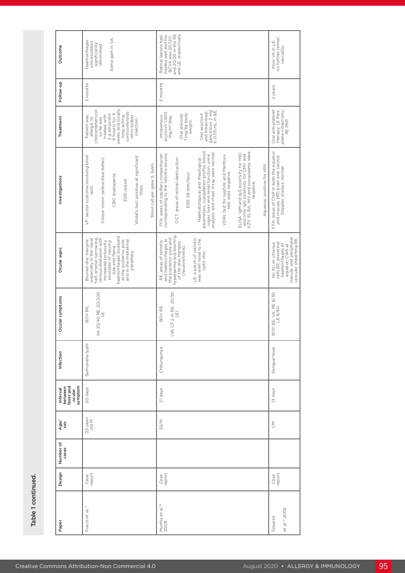| Chikungunya<br>21 days<br>23-year-<br>old M<br>35/M<br>Case<br>report<br>Case<br>report | VA 20/40 RE, 20/200<br>LE.<br>(VA CF 2 m RE, 20/20)<br>LE)<br>Ocular symptoms<br>BOV BE,<br>BOV RE<br>Salmonella typhi<br>Infection | hyperaemia and blurring<br>of the disc margins<br>(neuroretinitis).<br>haemorrhages localised<br>Blurred disc margins<br>especially in the nasal<br>half, arterial narrowing,<br>venous dilatation with<br>the posterior pole and<br>LE: a patch of retinitis<br>RE: areas of retinitis<br>and haemorrhages in<br>was seen nasal to the<br>optic disc.<br>at the posterior pole<br>and in the midretinal<br>increased tortuosity,<br>exudates of varying<br>size and flame<br>Ocular signs<br>periphery. | Haematological and rheological<br>parameters, coagulation profile, blood<br>sugar, liver and renal function, urine<br>ELISA: IgM and IgG positivity for HSV,<br>and only IgG positivity for CMV and<br>VZV. ELISA: HIV and toxoplasma were<br>analysis, and chest X-ray were normal<br>corresponding to the retinitis lesions.<br>FFA: areas of capillary nonperfusion<br>VDRL test for syphilis and Mantoux<br>VF: sector scotoma involving blind<br>Widal's test: positive at significant<br>OCT: areas of retinal destruction.<br>Colour vision: yellow blue defect.<br>Stool culture: grew S. typhi.<br>Aqueous: positive for HSV.<br>test were negative.<br>ESR: 38 mm/hour.<br>CBC: leukopenia.<br>Investigations<br>ESR: raised.<br>negative.<br>titres.<br>spot. | weeks and locally<br>chloramphenicol<br>and intravitreal<br>ganciclovir 2 mg<br>in 0.05 mL in BE.<br>corticosteroids<br>retro bulbar<br>Intravenous<br>acyclovir 1,500<br>Oral acyclovir<br>1 mg/kg body<br>2 g ampicillin<br>6 hourly for 4<br>Oral steroids<br>treated with<br>Patient was<br>long-acting<br>mg/m <sup>2</sup> /day.<br>Treatment<br>allergic to<br>so he was<br>injection.<br>weight. | Follow-up<br>3 months<br>5 months | healed well and his<br>BCVA was 20/120<br>and 20/20 in the RE<br>and LE, respectively.<br>Retinal lesions had<br>Some gain in VA<br>Haemorrhages<br>and exudates<br>significantly<br>diminished.<br>Outcome |
|-----------------------------------------------------------------------------------------|-------------------------------------------------------------------------------------------------------------------------------------|----------------------------------------------------------------------------------------------------------------------------------------------------------------------------------------------------------------------------------------------------------------------------------------------------------------------------------------------------------------------------------------------------------------------------------------------------------------------------------------------------------|--------------------------------------------------------------------------------------------------------------------------------------------------------------------------------------------------------------------------------------------------------------------------------------------------------------------------------------------------------------------------------------------------------------------------------------------------------------------------------------------------------------------------------------------------------------------------------------------------------------------------------------------------------------------------------------------------------------------------------------------------------------------------|----------------------------------------------------------------------------------------------------------------------------------------------------------------------------------------------------------------------------------------------------------------------------------------------------------------------------------------------------------------------------------------------------------|-----------------------------------|-------------------------------------------------------------------------------------------------------------------------------------------------------------------------------------------------------------|
| Dengue fever<br>13 days<br>$\geq$<br>Case<br>report                                     | BOV BE; VA: RE 6/30<br>LE 6/60.                                                                                                     | macula; and peripheral<br>vascular sheathing BE.<br>No AC or vitreous<br>cells BE; preretinal<br>haemorrhages at<br>equator; CWS at                                                                                                                                                                                                                                                                                                                                                                      | FFA: areas of CNP in both the equator<br>and macula. MRI brain and carotid<br>Doppler studies: normal.                                                                                                                                                                                                                                                                                                                                                                                                                                                                                                                                                                                                                                                                   | Oral anti-platelet<br>therapy; LE Pars<br>plana vitrectomy;<br>RE PRP.                                                                                                                                                                                                                                                                                                                                   | 2 years                           | Poor VA in LE;<br>no further retinal<br>vasculitis.                                                                                                                                                         |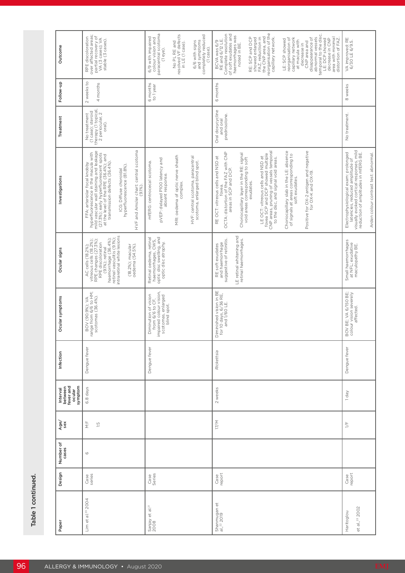| Outcome<br>Follow-up                                  | over affected areas;<br>partial recovery of<br>VA (3 cases); VA<br>RPE discoloration<br>stable (3 cases).<br>2 weeks to<br>4 months                                                                                                                                                                         | paracentral scotoma<br>No PL RE and<br>resolved VF defects<br>completely reduced<br>6/9 with impaired<br>colour vision and<br>and symptoms<br>6/6 with signs<br>in LE (1 case).<br>(1 eye).<br>(1 case)<br>6 months<br>to 1 year | FAZ, reduction in<br>the CNP area, and<br>reorganisation of the<br>Complete resolution<br>of soft exudates and<br>temporal to the disc.<br>haemorrhages was<br>noted in BE.<br>RE: SCP and DCP<br>capillary network.<br>disappearance of<br>abnormal vessels<br>area with minimal<br>showed enlarged<br>LE: SCP showed<br>reorganisation of<br>capillary network<br>LE: DCP showed<br>distortion of FAZ.<br>decrease in CNP<br>BCVA was 6/9<br>RE and 6/12 LE.<br>at macula with<br>CNP area and<br>decrease in<br>6 months    | VA improved: RE<br>6/30 LE 6/9.5.<br>8 weeks                                                                                                             |
|-------------------------------------------------------|-------------------------------------------------------------------------------------------------------------------------------------------------------------------------------------------------------------------------------------------------------------------------------------------------------------|----------------------------------------------------------------------------------------------------------------------------------------------------------------------------------------------------------------------------------|--------------------------------------------------------------------------------------------------------------------------------------------------------------------------------------------------------------------------------------------------------------------------------------------------------------------------------------------------------------------------------------------------------------------------------------------------------------------------------------------------------------------------------|----------------------------------------------------------------------------------------------------------------------------------------------------------|
| Treatment                                             | No treatment<br>(1 case); steroid<br>therapy (1 topical,<br>2 periocular, 2<br>oral).                                                                                                                                                                                                                       |                                                                                                                                                                                                                                  | Oral doxycycline<br>and oral<br>prednisolone.                                                                                                                                                                                                                                                                                                                                                                                                                                                                                  | No treatment.                                                                                                                                            |
| Investigations                                        | HVF and Amsler chart: central scotoma<br>hyperfluorescence in the macula with<br>mild vascular wall staining and leakage<br>(27.3%); early hyperfluorescenc; spots<br>at transmission defects (36.4%).<br>FFA: arteriolar focal knobby<br>ICG: Diffuse choroidal<br>hyperfluorescence (81.8%).<br>$(9.1\%)$ | MRI: oedema of optic nerve sheath<br>HVF: central scotoma, paracentral<br>scotoma, enlarged blind spot.<br>pVEP: delayed PIOO latency and<br>mfERG: centrocecal scotoma.<br>absent response<br>complex.                          | LE OCT: vitreous cells and NSD at<br>fovea SCP and DCP showed multiple<br>CNP and DCP showed multiple<br>to the disc, and signal void areas.<br>Choriocapillary slab in the LE: absence<br>of signals at areas corresponding to<br>Positive for OX-2 antigen and negative<br>for OX-K and OX-19.<br>OCTA: distortion of the FAZ with CNP<br>areas in SCP and DCP.<br>Choriocapillary layer in the RE: signal<br>RE OCT: vitreous cells and NSD at<br>void areas corresponding to soft<br>soft exudates.<br>exudates.<br>fovea. | Electrophysiological exam: prolonged<br>latencies, reduced amplitude of<br>visual control amplitudes in miterial<br>reduction of amplitudes in mfERG BE. |
| Ocular signs                                          | retinal vasculitis (9.1%);<br>intraretinal white lesions<br>haemorrhage (36.4%);<br>vitreous cells (18.2%);<br>RPE changes (27.3%);<br>RPE discoloration<br>(18.2%); macular<br>oedema (54.5%).<br>AC cells (18.2%);<br>(9.1%); retinal                                                                     | optic disc swelling, and<br>Retinal oedema, retinal<br>haemorrhages, CWS,<br>optic discatrophy.                                                                                                                                  | LE retinal whitening and<br>retinal haemorrhages.<br>suggestive of retinitis.<br>and haemorrhage<br>RE soft exudates                                                                                                                                                                                                                                                                                                                                                                                                           | Small haemorrhages<br>at NFL; exudative<br>maculopathy BE.                                                                                               |
| Ocular symptoms                                       | BOV (90.9%); VA<br>range from 6/6 to HM;<br>scotomas (36.4%).                                                                                                                                                                                                                                               | impaired colour vision,<br>Diminution of vision<br>scotomas, enlarged<br>blind spot.<br>from 6/6 to CF,                                                                                                                          | Diminished vision in BE<br>for 10 days, 6/36 RE,<br>and 1/60 LE.                                                                                                                                                                                                                                                                                                                                                                                                                                                               | BOV BE; VA 6/150 BE;<br>colour vision severely<br>affected.                                                                                              |
| Infection                                             | Dengue fever                                                                                                                                                                                                                                                                                                | Dengue fever                                                                                                                                                                                                                     | Rickettsia                                                                                                                                                                                                                                                                                                                                                                                                                                                                                                                     | Dengue fever                                                                                                                                             |
| Interval<br>between<br>fever and<br>ocular<br>symptom | 6.8 days                                                                                                                                                                                                                                                                                                    |                                                                                                                                                                                                                                  | 2 weeks                                                                                                                                                                                                                                                                                                                                                                                                                                                                                                                        | 1 day                                                                                                                                                    |
| Age/                                                  | $\stackrel{\sqsubseteq}{\geq}$<br>Ξ                                                                                                                                                                                                                                                                         |                                                                                                                                                                                                                                  | 17/M                                                                                                                                                                                                                                                                                                                                                                                                                                                                                                                           | $\frac{1}{2}$                                                                                                                                            |
| Number of<br>cases                                    | $\circ$                                                                                                                                                                                                                                                                                                     |                                                                                                                                                                                                                                  |                                                                                                                                                                                                                                                                                                                                                                                                                                                                                                                                |                                                                                                                                                          |
| Design                                                | Case<br>series                                                                                                                                                                                                                                                                                              | Case<br>Series                                                                                                                                                                                                                   | Case<br>report                                                                                                                                                                                                                                                                                                                                                                                                                                                                                                                 | Case<br>report                                                                                                                                           |
| Paper                                                 | Lim et al. <sup>20</sup> 2004                                                                                                                                                                                                                                                                               | Sanjay et al. <sup>21</sup><br>2008                                                                                                                                                                                              | Shanmugan et<br>al., <sup>22</sup> 2019                                                                                                                                                                                                                                                                                                                                                                                                                                                                                        | et al., <sup>23</sup> 2002<br>Haritoglou                                                                                                                 |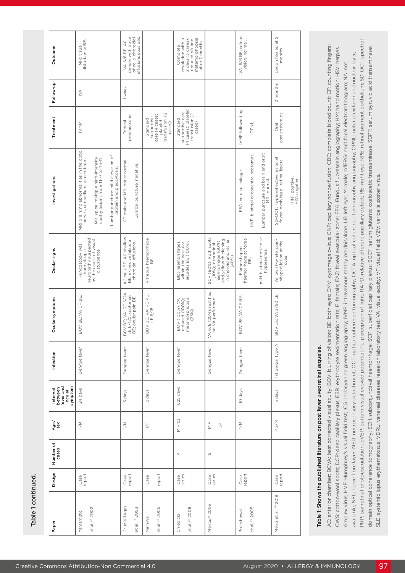| 2 months<br>1 week<br>$\frac{4}{2}$<br>(4 cases); platelet<br>IVMP followed by<br>supportive care<br>corticosteroids.<br>care (4 cases);<br>transfusion (2<br>transfusion (2<br>prednisolone.<br>supportive<br>Standard<br>Standard<br>platelet<br>Topical<br>cases).<br>cases).<br>OPNL.<br>IVMP.<br>Oral<br>MRI brain: no abnormalities in the optic<br>Lumbar puncture and brain and orbit<br>MRI: normal.<br>HVF: bilateral cecocentral scotomas.<br>Lumbar puncture: mild elevation of<br>SD-OCT: hyperreflective lesion at<br>fovea involving all retinal layers.<br>nerves, cerebellum, or cerebrum.<br>MRI spine: multiple high-intensity<br>spotty lesions from Th-7 to Th-11.<br>CT brain and MRI brain: normal.<br>Lumbar puncture: negative.<br>protein and pleocytosis.<br>FFA: no disc leakage.<br>H1N1: positive.<br>HIV: negative.<br>mild bilateral optic disc<br>AC cells BE; AC shallow<br>BE; extensive bilateral<br>SCH (60%); Roth spots<br>Vitreous haemorrhage<br>BE.<br>neuropathy suspected<br>and yellow thickening<br>haemorrhage at fovea<br>RE;<br>Yellowish-white, coin-<br>shaped lesion at the<br>as the cause of visual<br>in choroid and retina<br>haemorrhage (60%);<br>choroidal effusions.<br>Blot haemorrhages<br>within the vascular<br>arcades BE (100%).<br>(10%); intraretinal<br>Fundoscopy was<br>Flame-shaped<br>normal; optic<br>disturbance.<br>hyperaemia.<br>$(40\%)$ .<br>fovea.<br>VA 6/6 (20%); rest had<br>BOV BE; VA: RE 6/24<br>BOV LE; VA 3/60 LE.<br>LE 6/120; scotomas<br>BOV BE; VA: RE PL<br>LE 6/18.<br>BOV BE; VA CF BE.<br>BOV BE; VA CF BE.<br>BE; ocular pain BE.<br>metamorphopsia<br>no VA performed.<br><b>BOV (100%); VA</b><br>reduced (100%);<br>$(25%)$ .<br>Influenza Type A<br>Dengue fever<br>Dengue fever<br>Dengue fever<br>Dengue fever<br>Dengue fever<br>Dengue fever<br>symptom<br>625 days<br>24 days<br>10 days<br>ocular<br>3 days<br>5 days<br>2 days | Design                                       | Number of<br>cases | Age/ | Interval<br>between<br>fever and | Infection | Ocular symptoms | Ocular signs | Investigations | Treatment | Follow-up | Outcome                                                                                                   |
|---------------------------------------------------------------------------------------------------------------------------------------------------------------------------------------------------------------------------------------------------------------------------------------------------------------------------------------------------------------------------------------------------------------------------------------------------------------------------------------------------------------------------------------------------------------------------------------------------------------------------------------------------------------------------------------------------------------------------------------------------------------------------------------------------------------------------------------------------------------------------------------------------------------------------------------------------------------------------------------------------------------------------------------------------------------------------------------------------------------------------------------------------------------------------------------------------------------------------------------------------------------------------------------------------------------------------------------------------------------------------------------------------------------------------------------------------------------------------------------------------------------------------------------------------------------------------------------------------------------------------------------------------------------------------------------------------------------------------------------------------------------------------------------------------------------------------------------------------------------------------------------------------------------------------------------------|----------------------------------------------|--------------------|------|----------------------------------|-----------|-----------------|--------------|----------------|-----------|-----------|-----------------------------------------------------------------------------------------------------------|
|                                                                                                                                                                                                                                                                                                                                                                                                                                                                                                                                                                                                                                                                                                                                                                                                                                                                                                                                                                                                                                                                                                                                                                                                                                                                                                                                                                                                                                                                                                                                                                                                                                                                                                                                                                                                                                                                                                                                             |                                              |                    |      |                                  |           |                 |              |                |           |           |                                                                                                           |
|                                                                                                                                                                                                                                                                                                                                                                                                                                                                                                                                                                                                                                                                                                                                                                                                                                                                                                                                                                                                                                                                                                                                                                                                                                                                                                                                                                                                                                                                                                                                                                                                                                                                                                                                                                                                                                                                                                                                             | $\geq$<br>Case<br>report                     |                    |      |                                  |           |                 |              |                |           |           | disturbance BE.<br>Mild visual                                                                            |
|                                                                                                                                                                                                                                                                                                                                                                                                                                                                                                                                                                                                                                                                                                                                                                                                                                                                                                                                                                                                                                                                                                                                                                                                                                                                                                                                                                                                                                                                                                                                                                                                                                                                                                                                                                                                                                                                                                                                             |                                              |                    |      |                                  |           |                 |              |                |           |           |                                                                                                           |
|                                                                                                                                                                                                                                                                                                                                                                                                                                                                                                                                                                                                                                                                                                                                                                                                                                                                                                                                                                                                                                                                                                                                                                                                                                                                                                                                                                                                                                                                                                                                                                                                                                                                                                                                                                                                                                                                                                                                             |                                              |                    |      |                                  |           |                 |              |                |           |           |                                                                                                           |
|                                                                                                                                                                                                                                                                                                                                                                                                                                                                                                                                                                                                                                                                                                                                                                                                                                                                                                                                                                                                                                                                                                                                                                                                                                                                                                                                                                                                                                                                                                                                                                                                                                                                                                                                                                                                                                                                                                                                             | $\geq$<br>Case<br>report                     |                    |      |                                  |           |                 |              |                |           |           | effusions subsided.<br>deeper with trace<br>of cells; choroidal<br>VA 6/6 BE; AC                          |
|                                                                                                                                                                                                                                                                                                                                                                                                                                                                                                                                                                                                                                                                                                                                                                                                                                                                                                                                                                                                                                                                                                                                                                                                                                                                                                                                                                                                                                                                                                                                                                                                                                                                                                                                                                                                                                                                                                                                             | $\frac{1}{2}$<br>Case                        |                    |      |                                  |           |                 |              |                |           |           |                                                                                                           |
|                                                                                                                                                                                                                                                                                                                                                                                                                                                                                                                                                                                                                                                                                                                                                                                                                                                                                                                                                                                                                                                                                                                                                                                                                                                                                                                                                                                                                                                                                                                                                                                                                                                                                                                                                                                                                                                                                                                                             | report                                       |                    |      |                                  |           |                 |              |                |           |           |                                                                                                           |
|                                                                                                                                                                                                                                                                                                                                                                                                                                                                                                                                                                                                                                                                                                                                                                                                                                                                                                                                                                                                                                                                                                                                                                                                                                                                                                                                                                                                                                                                                                                                                                                                                                                                                                                                                                                                                                                                                                                                             | M: F 1:3<br>4<br>Case<br>series              |                    |      |                                  |           |                 |              |                |           |           | metamorphopsia<br>resolution within<br>2 days (3 cases);<br>reduced VA and<br>after 2 months.<br>Complete |
|                                                                                                                                                                                                                                                                                                                                                                                                                                                                                                                                                                                                                                                                                                                                                                                                                                                                                                                                                                                                                                                                                                                                                                                                                                                                                                                                                                                                                                                                                                                                                                                                                                                                                                                                                                                                                                                                                                                                             | $\frac{1}{2}$<br>4:1<br>LŊ<br>Case<br>series |                    |      |                                  |           |                 |              |                |           |           |                                                                                                           |
|                                                                                                                                                                                                                                                                                                                                                                                                                                                                                                                                                                                                                                                                                                                                                                                                                                                                                                                                                                                                                                                                                                                                                                                                                                                                                                                                                                                                                                                                                                                                                                                                                                                                                                                                                                                                                                                                                                                                             | $\geq$<br>Case<br>report                     |                    |      |                                  |           |                 |              |                |           |           | VA: 6/6 BE; colour<br>vision: normal.                                                                     |
|                                                                                                                                                                                                                                                                                                                                                                                                                                                                                                                                                                                                                                                                                                                                                                                                                                                                                                                                                                                                                                                                                                                                                                                                                                                                                                                                                                                                                                                                                                                                                                                                                                                                                                                                                                                                                                                                                                                                             |                                              |                    |      |                                  |           |                 |              |                |           |           |                                                                                                           |
|                                                                                                                                                                                                                                                                                                                                                                                                                                                                                                                                                                                                                                                                                                                                                                                                                                                                                                                                                                                                                                                                                                                                                                                                                                                                                                                                                                                                                                                                                                                                                                                                                                                                                                                                                                                                                                                                                                                                             |                                              |                    |      |                                  |           |                 |              |                |           |           |                                                                                                           |
|                                                                                                                                                                                                                                                                                                                                                                                                                                                                                                                                                                                                                                                                                                                                                                                                                                                                                                                                                                                                                                                                                                                                                                                                                                                                                                                                                                                                                                                                                                                                                                                                                                                                                                                                                                                                                                                                                                                                             | 43/M<br>Case<br>report                       |                    |      |                                  |           |                 |              |                |           |           | Lesion healed at 2<br>months.                                                                             |
|                                                                                                                                                                                                                                                                                                                                                                                                                                                                                                                                                                                                                                                                                                                                                                                                                                                                                                                                                                                                                                                                                                                                                                                                                                                                                                                                                                                                                                                                                                                                                                                                                                                                                                                                                                                                                                                                                                                                             |                                              |                    |      |                                  |           |                 |              |                |           |           |                                                                                                           |

# Table 1: Shows the published literature on post fever uveoretinal sequelae. Table 1: Shows the published literature on post fever uveoretinal sequelae.

PRP: panretinal photocoagulation; pVEP: pattern visual evoked potential; PL: perception of light; RAPD: relative afferent pupillary defect; RE: right eye; RPE: retinal pigment epithelium; SD-OCT: spectral PRP: panretinal photocoagulation; pVEP: pattern visual evoked potential; PL: perception of light; RAPD: relative afferent pupillary defect; RE: right eye; RPE: retinal pigment epithelium; SD-OCT: spectral AC: anterior chamber; BCVA: best corrected visual acuity; BOV: blurring of vision; BE: both eyes; CMV: cytomegalovirus; CNP: capillary nonperfusion; CBC; complete blood count; CF: counting fingers; AC: anterior chamber; BCVA: best corrected visual acuity; BOV: blurring of vision; BE: both eyes; CMV: cytomegalovirus; CNP: capillary nonperfusion; CBC; complete blood count; CF: counting fingers; domain optical coherence tomography; SCH: subconjunctival haemorrhage; SCP: superficial capillary plexus; SGOT: serum glutamic oxaloacetic transaminase; SGPT: serum pyruvic acid transaminase; domain optical coherence tomography; SCH: subconjunctival haemorrhage; SCP: superficial capillary plexus; SGOT: serum glutamic oxaloacetic transaminase; SGPT: serum pyruvic acid transaminase; CWS: cotton-wool spots; DCP: deep capillary plexus; ESR: erythrocyte sedimentation rate; F: female; FAZ: foveal avascular zone; FFA: Fundus fluorescein angiography; HM: hand motion; HSV: herpes CWS: cotton-wool spots; DCP: deep capillary plexus; ESR: erythrocyte sedimentation rate; F; female; FAZ: foveal avascular zone; FFA: Fundus fluorescein angiography; HM: hand motion; HSV: herpes available; NFL: nerve fibre layer; NSD: neurosensory detachment; OCT: optical coherence tomography; OCTA: optical coherence tomography angiography; OPNL: outer plexiform and nuclear layer; available; NFL: nerve fibre layer; NSD: neurosensory detachment; OCT: optical coherence tomography; OCTA: optical coherence tomography; angiography; OPNL: outer plexiform and nuclear layer; simplex virus; HVF: Humphrey's visual field test; ICG: indocyanine green angiography; IVMP: intravenous methylprednisolone; LE: left eye; M: male; mfERG: multifocal electroretinogram; NA: not simplex virus; HVF: Humphrey's visual field test; ICG: indocyanine green angiography; IVMP: intravenous methylprednisolone; LE: left eye; M: male; mfERG: multifocal electroretinogram; NA: not SLE: systemic lupus erythematosus; VDRL: venereal diseases research laboratory test; VA: visual acuity; VF: visual field; VZV: varicella zoster virus. SLE: systemic lupus erythematosus; VDRL: venereal diseases research laboratory test; VA: visual acuity; VF: visual field; VZV: varicella zoster virus.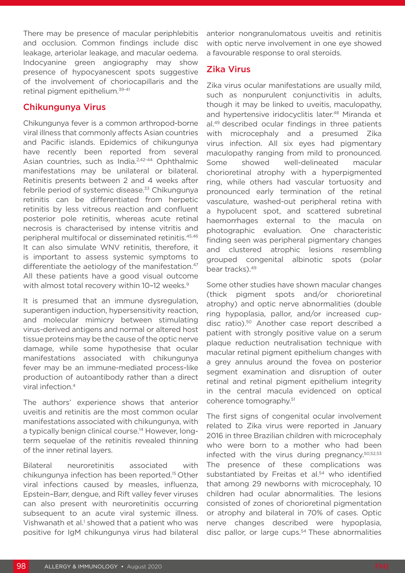There may be presence of macular periphlebitis and occlusion. Common findings include disc leakage, arteriolar leakage, and macular oedema. Indocyanine green angiography may show presence of hypocyanescent spots suggestive of the involvement of choriocapillaris and the retinal pigment epithelium.39-41

## Chikungunya Virus

Chikungunya fever is a common arthropod-borne viral illness that commonly affects Asian countries and Pacific islands. Epidemics of chikungunya have recently been reported from several Asian countries, such as India.<sup>2,42-44</sup> Ophthalmic manifestations may be unilateral or bilateral. Retinitis presents between 2 and 4 weeks after febrile period of systemic disease.<sup>33</sup> Chikungunya retinitis can be differentiated from herpetic retinitis by less vitreous reaction and confluent posterior pole retinitis, whereas acute retinal necrosis is characterised by intense vitritis and peripheral multifocal or disseminated retinitis.45,46 It can also simulate WNV retinitis, therefore, it is important to assess systemic symptoms to differentiate the aetiology of the manifestation.<sup>47</sup> All these patients have a good visual outcome with almost total recovery within 10-12 weeks.<sup>9</sup>

It is presumed that an immune dysregulation, superantigen induction, hypersensitivity reaction, and molecular mimicry between stimulating virus-derived antigens and normal or altered host tissue proteins may be the cause of the optic nerve damage, while some hypothesise that ocular manifestations associated with chikungunya fever may be an immune-mediated process-like production of autoantibody rather than a direct viral infection.4

The authors' experience shows that anterior uveitis and retinitis are the most common ocular manifestations associated with chikungunya, with a typically benign clinical course.<sup>14</sup> However, longterm sequelae of the retinitis revealed thinning of the inner retinal layers.

Bilateral neuroretinitis associated with chikungunya infection has been reported.15 Other viral infections caused by measles, influenza, Epstein–Barr, dengue, and Rift valley fever viruses can also present with neuroretinitis occurring subsequent to an acute viral systemic illness. Vishwanath et al.<sup>1</sup> showed that a patient who was positive for IgM chikungunya virus had bilateral

anterior nongranulomatous uveitis and retinitis with optic nerve involvement in one eye showed a favourable response to oral steroids.

#### Zika Virus

Zika virus ocular manifestations are usually mild, such as nonpurulent conjunctivitis in adults, though it may be linked to uveitis, maculopathy, and hypertensive iridocyclitis later.<sup>48</sup> Miranda et al.49 described ocular findings in three patients with microcephaly and a presumed Zika virus infection. All six eyes had pigmentary maculopathy ranging from mild to pronounced. Some showed well-delineated macular chorioretinal atrophy with a hyperpigmented ring, while others had vascular tortuosity and pronounced early termination of the retinal vasculature, washed-out peripheral retina with a hypolucent spot, and scattered subretinal haemorrhages external to the macula on photographic evaluation. One characteristic finding seen was peripheral pigmentary changes and clustered atrophic lesions resembling grouped congenital albinotic spots (polar bear tracks).49

Some other studies have shown macular changes (thick pigment spots and/or chorioretinal atrophy) and optic nerve abnormalities (double ring hypoplasia, pallor, and/or increased cupdisc ratio).50 Another case report described a patient with strongly positive value on a serum plaque reduction neutralisation technique with macular retinal pigment epithelium changes with a grey annulus around the fovea on posterior segment examination and disruption of outer retinal and retinal pigment epithelium integrity in the central macula evidenced on optical coherence tomography.51

The first signs of congenital ocular involvement related to Zika virus were reported in January 2016 in three Brazilian children with microcephaly who were born to a mother who had been infected with the virus during pregnancy.50,52,53 The presence of these complications was substantiated by Freitas et al.<sup>54</sup> who identified that among 29 newborns with microcephaly, 10 children had ocular abnormalities. The lesions consisted of zones of chorioretinal pigmentation or atrophy and bilateral in 70% of cases. Optic nerve changes described were hypoplasia, disc pallor, or large cups.<sup>54</sup> These abnormalities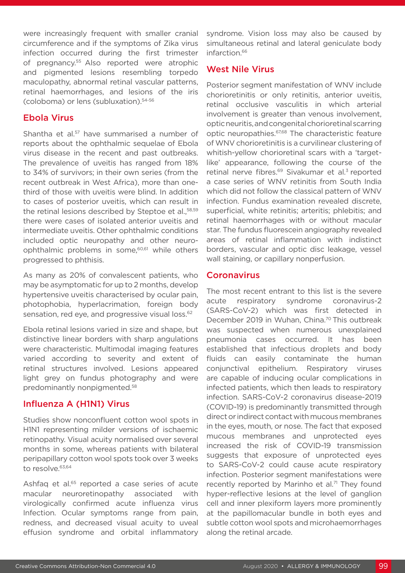were increasingly frequent with smaller cranial circumference and if the symptoms of Zika virus infection occurred during the first trimester of pregnancy.55 Also reported were atrophic and pigmented lesions resembling torpedo maculopathy, abnormal retinal vascular patterns, retinal haemorrhages, and lesions of the iris (coloboma) or lens (subluxation).54-56

#### Ebola Virus

Shantha et al.<sup>57</sup> have summarised a number of reports about the ophthalmic sequelae of Ebola virus disease in the recent and past outbreaks. The prevalence of uveitis has ranged from 18% to 34% of survivors; in their own series (from the recent outbreak in West Africa), more than onethird of those with uveitis were blind. In addition to cases of posterior uveitis, which can result in the retinal lesions described by Steptoe et al., 58,59 there were cases of isolated anterior uveitis and intermediate uveitis. Other ophthalmic conditions included optic neuropathy and other neuroophthalmic problems in some,60,61 while others progressed to phthisis.

As many as 20% of convalescent patients, who may be asymptomatic for up to 2 months, develop hypertensive uveitis characterised by ocular pain, photophobia, hyperlacrimation, foreign body sensation, red eye, and progressive visual loss.<sup>62</sup>

Ebola retinal lesions varied in size and shape, but distinctive linear borders with sharp angulations were characteristic. Multimodal imaging features varied according to severity and extent of retinal structures involved. Lesions appeared light grey on fundus photography and were predominantly nonpigmented.58

## Influenza A (H1N1) Virus

Studies show nonconfluent cotton wool spots in H1N1 representing milder versions of ischaemic retinopathy. Visual acuity normalised over several months in some, whereas patients with bilateral peripapillary cotton wool spots took over 3 weeks to resolve.63,64

Ashfaq et al.<sup>65</sup> reported a case series of acute macular neuroretinopathy associated with virologically confirmed acute influenza virus Infection. Ocular symptoms range from pain, redness, and decreased visual acuity to uveal effusion syndrome and orbital inflammatory

syndrome. Vision loss may also be caused by simultaneous retinal and lateral geniculate body infarction.<sup>66</sup>

#### West Nile Virus

Posterior segment manifestation of WNV include chorioretinitis or only retinitis, anterior uveitis, retinal occlusive vasculitis in which arterial involvement is greater than venous involvement, optic neuritis, and congenital chorioretinal scarring optic neuropathies.67,68 The characteristic feature of WNV chorioretinitis is a curvilinear clustering of whitish-yellow chorioretinal scars with a 'targetlike' appearance, following the course of the retinal nerve fibres.<sup>69</sup> Sivakumar et al.<sup>3</sup> reported a case series of WNV retinitis from South India which did not follow the classical pattern of WNV infection. Fundus examination revealed discrete, superficial, white retinitis; arteritis; phlebitis; and retinal haemorrhages with or without macular star. The fundus fluorescein angiography revealed areas of retinal inflammation with indistinct borders, vascular and optic disc leakage, vessel wall staining, or capillary nonperfusion.

#### **Coronavirus**

The most recent entrant to this list is the severe acute respiratory syndrome coronavirus-2 (SARS-CoV-2) which was first detected in December 2019 in Wuhan, China.<sup>70</sup> This outbreak was suspected when numerous unexplained pneumonia cases occurred. It has been established that infectious droplets and body fluids can easily contaminate the human conjunctival epithelium. Respiratory viruses are capable of inducing ocular complications in infected patients, which then leads to respiratory infection. SARS-CoV-2 coronavirus disease-2019 (COVID-19) is predominantly transmitted through direct or indirect contact with mucous membranes in the eyes, mouth, or nose. The fact that exposed mucous membranes and unprotected eyes increased the risk of COVID-19 transmission suggests that exposure of unprotected eyes to SARS-CoV-2 could cause acute respiratory infection. Posterior segment manifestations were recently reported by Marinho et al.<sup>71</sup> They found hyper-reflective lesions at the level of ganglion cell and inner plexiform layers more prominently at the papillomacular bundle in both eyes and subtle cotton wool spots and microhaemorrhages along the retinal arcade.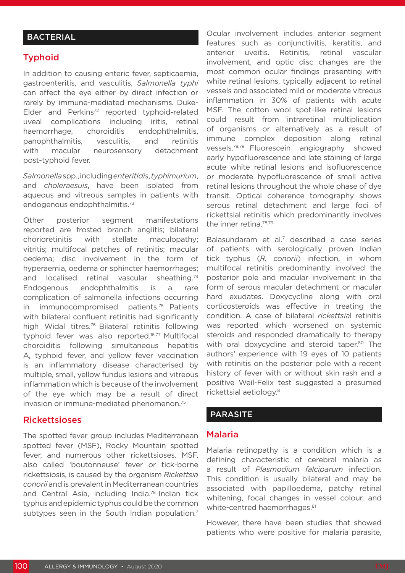## **BACTERIAL**

#### Typhoid

In addition to causing enteric fever, septicaemia, gastroenteritis, and vasculitis, *Salmonella typhi*  can affect the eye either by direct infection or rarely by immune-mediated mechanisms. Duke-Elder and Perkins<sup>72</sup> reported typhoid-related uveal complications including iritis, retinal haemorrhage, choroiditis endophthalmitis, panophthalmitis, vasculitis, and retinitis with macular neurosensory detachment post-typhoid fever.

*Salmonella* spp., including *enteritidis*, *typhimurium*, and *choleraesuis*, have been isolated from aqueous and vitreous samples in patients with endogenous endophthalmitis.73

Other posterior segment manifestations reported are frosted branch angiitis; bilateral chorioretinitis with stellate maculopathy; vitritis; multifocal patches of retinitis; macular oedema; disc involvement in the form of hyperaemia, oedema or sphincter haemorrhages; and localised retinal vascular sheathing.<sup>74</sup> Endogenous endophthalmitis is a rare complication of salmonella infections occurring in immunocompromised patients.<sup>75</sup> Patients with bilateral confluent retinitis had significantly high Widal titres.76 Bilateral retinitis following typhoid fever was also reported.16,77 Multifocal choroiditis following simultaneous hepatitis A, typhoid fever, and yellow fever vaccination is an inflammatory disease characterised by multiple, small, yellow fundus lesions and vitreous inflammation which is because of the involvement of the eye which may be a result of direct invasion or immune-mediated phenomenon.75

#### Rickettsioses

The spotted fever group includes Mediterranean spotted fever (MSF), Rocky Mountain spotted fever, and numerous other rickettsioses. MSF, also called 'boutonneuse' fever or tick-borne rickettsiosis, is caused by the organism *Rickettsia conorii* and is prevalent in Mediterranean countries and Central Asia, including India.78 Indian tick typhus and epidemic typhus could be the common subtypes seen in the South Indian population.<sup>7</sup>

Ocular involvement includes anterior segment features such as conjunctivitis, keratitis, and anterior uveitis. Retinitis, retinal vascular involvement, and optic disc changes are the most common ocular findings presenting with white retinal lesions, typically adjacent to retinal vessels and associated mild or moderate vitreous inflammation in 30% of patients with acute MSF. The cotton wool spot-like retinal lesions could result from intraretinal multiplication of organisms or alternatively as a result of immune complex deposition along retinal vessels.78,79 Fluorescein angiography showed early hypofluorescence and late staining of large acute white retinal lesions and isofluorescence or moderate hypofluorescence of small active retinal lesions throughout the whole phase of dye transit. Optical coherence tomography shows serous retinal detachment and large foci of rickettsial retinitis which predominantly involves the inner retina.78,79

Balasundaram et al.<sup>7</sup> described a case series of patients with serologically proven Indian tick typhus (*R. conorii*) infection, in whom multifocal retinitis predominantly involved the posterior pole and macular involvement in the form of serous macular detachment or macular hard exudates. Doxycycline along with oral corticosteroids was effective in treating the condition. A case of bilateral *rickettsia*l retinitis was reported which worsened on systemic steroids and responded dramatically to therapy with oral doxycycline and steroid taper.<sup>80</sup> The authors' experience with 19 eyes of 10 patients with retinitis on the posterior pole with a recent history of fever with or without skin rash and a positive Weil-Felix test suggested a presumed rickettsial aetiology.8

#### PARASITE

#### Malaria

Malaria retinopathy is a condition which is a defining characteristic of cerebral malaria as a result of *Plasmodium falciparum* infection. This condition is usually bilateral and may be associated with papilloedema, patchy retinal whitening, focal changes in vessel colour, and white-centred haemorrhages.<sup>81</sup>

However, there have been studies that showed patients who were positive for malaria parasite,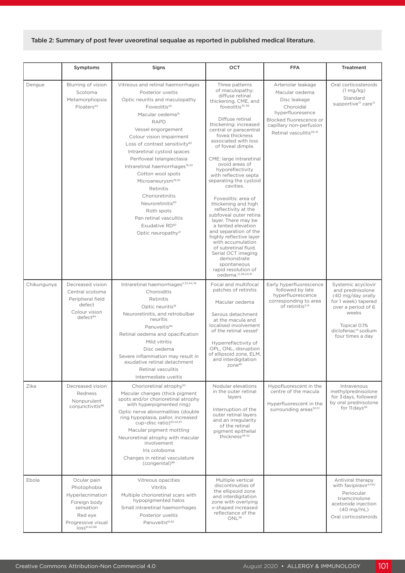#### Table 2: Summary of post fever uveoretinal sequalae as reported in published medical literature.

|             | Symptoms                                                                                                                                 | Signs                                                                                                                                                                                                                                                                                                                                                                                                                                                                                                                                                                                                        | OCT                                                                                                                                                                                                                                                                                                                                                                                                                                                                                                                                                                                                                                                                                                                                          | <b>FFA</b>                                                                                                                                                                         | <b>Treatment</b>                                                                                                                                                                         |
|-------------|------------------------------------------------------------------------------------------------------------------------------------------|--------------------------------------------------------------------------------------------------------------------------------------------------------------------------------------------------------------------------------------------------------------------------------------------------------------------------------------------------------------------------------------------------------------------------------------------------------------------------------------------------------------------------------------------------------------------------------------------------------------|----------------------------------------------------------------------------------------------------------------------------------------------------------------------------------------------------------------------------------------------------------------------------------------------------------------------------------------------------------------------------------------------------------------------------------------------------------------------------------------------------------------------------------------------------------------------------------------------------------------------------------------------------------------------------------------------------------------------------------------------|------------------------------------------------------------------------------------------------------------------------------------------------------------------------------------|------------------------------------------------------------------------------------------------------------------------------------------------------------------------------------------|
|             |                                                                                                                                          |                                                                                                                                                                                                                                                                                                                                                                                                                                                                                                                                                                                                              |                                                                                                                                                                                                                                                                                                                                                                                                                                                                                                                                                                                                                                                                                                                                              |                                                                                                                                                                                    |                                                                                                                                                                                          |
| Dengue      | Blurring of vision<br>Scotoma<br>Metamorphopsia<br>Floaters <sup>45</sup>                                                                | Vitreous and retinal haemorrhages<br>Posterior uveitis<br>Optic neuritis and maculopathy<br>Foveolitis <sup>45</sup><br>Macular oedema <sup>15</sup><br><b>RAPD</b><br>Vessel engorgement<br>Colour vision impairment<br>Loss of contrast sensitivity <sup>82</sup><br>Intraretinal cystoid spaces<br>Perifoveal telangiectasia<br>Intraretinal haemorrhages <sup>19,20</sup><br>Cotton wool spots<br>Microaneurysm <sup>19,20</sup><br>Retinitis<br>Chorioretinitis<br>Neuroretinitis <sup>83</sup><br>Roth spots<br>Pan retinal vasculitis<br>Exudative RD <sup>82</sup><br>Optic neuropathy <sup>21</sup> | Three patterns<br>of maculopathy:<br>diffuse retinal<br>thickening, CME, and<br>foveolitis <sup>32-36</sup><br>Diffuse retinal<br>thickening: increased<br>central or paracentral<br>fovea thickness<br>associated with loss<br>of foveal dimple.<br>CME: large intraretinal<br>ovoid areas of<br>hyporeflectivity<br>with reflective septa<br>separating the cystoid<br>cavities.<br>Foveolitis: area of<br>thickening and high<br>reflectivity at the<br>subfoveal outer retina<br>layer. There may be<br>a tented elevation<br>and separation of the<br>highly reflective layer<br>with accumulation<br>of subretinal fluid.<br>Serial OCT imaging<br>demonstrate<br>spontaneous<br>rapid resolution of<br>oedema. <sup>12,38,40,41</sup> | Arteriolar leakage<br>Macular oedema<br>Disc leakage<br>Choroidal<br>hyperfluoresence<br>Blocked fluorescence or<br>capillary non-perfusion<br>Retinal vasculitis <sup>39-41</sup> | Oral corticosteroids<br>$(1 \text{ mg/kg})$<br>Standard<br>supportive <sup>13</sup> care <sup>12</sup>                                                                                   |
| Chikungunya | Decreased vision<br>Central scotoma<br>Peripheral field<br>defect<br>Colour vision<br>defect <sup>84</sup>                               | Intraretinal haemorrhages <sup>2,33,44,78</sup><br>Choroiditis<br>Retinitis<br>Optic neuritis <sup>18</sup><br>Neuroretinitis, and retrobulbar<br>neuritis<br>Panuveitis84<br>Retinal oedema and opacification<br>Mild vitritis<br>Disc oedema<br>Severe inflammation may result in<br>exudative retinal detachment<br>Retinal vasculitis<br>Intermediate uveitis                                                                                                                                                                                                                                            | Focal and multifocal<br>patches of retinitis<br>Macular oedema<br>Serous detachment<br>at the macula and<br>localised involvement<br>of the retinal vessel <sup>1</sup><br>Hyperreflectivity of<br>OPL, ONL, disruption<br>of ellipsoid zone, ELM,<br>and interdigitation<br>zone <sup>85</sup>                                                                                                                                                                                                                                                                                                                                                                                                                                              | Early hyperfluorescence<br>followed by late<br>hyperfluorescence<br>corresponding to area<br>of retinitis <sup>2,14</sup>                                                          | Systemic acyclovir<br>and prednisolone<br>(40 mg/day orally<br>for 1 week) tapered<br>over a period of 6<br>weeks<br>Topical 0.1%<br>diclofenac <sup>14</sup> sodium<br>four times a day |
| Zika        | Decreased vision<br><b>Redness</b><br>Nonpurulent<br>conjunctivitis86                                                                    | Chorioretinal atrophy <sup>52</sup><br>Macular changes (thick pigment<br>spots and/or chorioretinal atrophy<br>with hyperpigmented ring)<br>Optic nerve abnormalities (double<br>ring hypoplasia, pallor, increased<br>cup-disc ratio) <sup>50,52,87</sup><br>Macular pigment mottling<br>Neuroretinal atrophy with macular<br>involvement<br>Iris coloboma<br>Changes in retinal vasculature<br>(congenital) <sup>86</sup>                                                                                                                                                                                  | Nodular elevations<br>in the outer retinal<br>layers<br>Interruption of the<br>outer retinal layers<br>and an irregularity<br>of the retinal<br>pigment epithelial<br>thickness <sup>49-52</sup>                                                                                                                                                                                                                                                                                                                                                                                                                                                                                                                                             | Hypofluorescent in the<br>centre of the macula<br>Hyperfluorescent in the<br>surrounding areas <sup>50,51</sup>                                                                    | Intravenous<br>methylprednisolone<br>for 3 days, followed<br>by oral prednisolone<br>for 11 days <sup>56</sup>                                                                           |
| Ebola       | Ocular pain<br>Photophobia<br>Hyperlacrimation<br>Foreign body<br>sensation<br>Red eye<br>Progressive visual<br>loss <sup>61,62,88</sup> | Vitreous opacities<br>Vitritis<br>Multiple chorioretinal scars with<br>hypopigmented halos<br>Small intraretinal haemorrhages<br>Posterior uveitis<br>Panuveitis <sup>61,62</sup>                                                                                                                                                                                                                                                                                                                                                                                                                            | Multiple vertical<br>discontinuities of<br>the ellipsoid zone<br>and interdigitation<br>zone with overlying<br>v-shaped increased<br>reflectance of the<br>ONL <sup>58</sup>                                                                                                                                                                                                                                                                                                                                                                                                                                                                                                                                                                 |                                                                                                                                                                                    | Antiviral therapy<br>with favipiravir <sup>57,60</sup><br>Periocular<br>triamcinolone<br>acetonide injection<br>(40 mg/mL)<br>Oral corticosteroids                                       |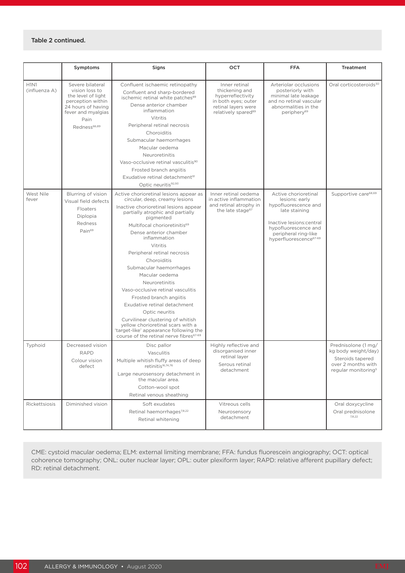#### Table 2 continued.

|                              | Symptoms                                                                                                                                                      | Signs                                                                                                                                                                                                                                                                                                                                                                                                                                                                                                                                                                                                                                                              | OCT                                                                                                                                   | <b>FFA</b>                                                                                                                                                                                         | <b>Treatment</b>                                                                                                        |
|------------------------------|---------------------------------------------------------------------------------------------------------------------------------------------------------------|--------------------------------------------------------------------------------------------------------------------------------------------------------------------------------------------------------------------------------------------------------------------------------------------------------------------------------------------------------------------------------------------------------------------------------------------------------------------------------------------------------------------------------------------------------------------------------------------------------------------------------------------------------------------|---------------------------------------------------------------------------------------------------------------------------------------|----------------------------------------------------------------------------------------------------------------------------------------------------------------------------------------------------|-------------------------------------------------------------------------------------------------------------------------|
| <b>H1N1</b><br>(influenza A) | Severe bilateral<br>vision loss to<br>the level of light<br>perception within<br>24 hours of having<br>fever and myalgias<br>Pain<br>Redness <sup>66,89</sup> | Confluent ischaemic retinopathy<br>Confluent and sharp-bordered<br>ischemic retinal white patches <sup>89</sup><br>Dense anterior chamber<br>inflammation<br>Vitritis<br>Peripheral retinal necrosis<br>Choroiditis<br>Submacular haemorrhages<br>Macular oedema<br>Neuroretinitis<br>Vaso-occlusive retinal vasculitis <sup>90</sup><br>Frosted branch angiitis<br>Exudative retinal detachment <sup>91</sup><br>Optic neuritis92,93                                                                                                                                                                                                                              | Inner retinal<br>thickening and<br>hyperreflectivity<br>in both eyes; outer<br>retinal layers were<br>relatively spared <sup>89</sup> | Arteriolar occlusions<br>posteriorly with<br>minimal late leakage<br>and no retinal vascular<br>abnormalities in the<br>periphery <sup>89</sup>                                                    | Oral corticosteroids <sup>30</sup>                                                                                      |
| West Nile<br>fever           | Blurring of vision<br>Visual field defects<br>Floaters<br>Diplopia<br>Redness<br>Pain <sup>69</sup>                                                           | Active chorioretinal lesions appear as<br>circular, deep, creamy lesions<br>Inactive chorioretinal lesions appear<br>partially atrophic and partially<br>pigmented<br>Multifocal chorioretinitis <sup>69</sup><br>Dense anterior chamber<br>inflammation<br>Vitritis<br>Peripheral retinal necrosis<br>Choroiditis<br>Submacular haemorrhages<br>Macular oedema<br>Neuroretinitis<br>Vaso-occlusive retinal vasculitis<br>Frosted branch angiitis<br>Exudative retinal detachment<br>Optic neuritis<br>Curvilinear clustering of whitish<br>yellow chorioretinal scars with a<br>'target-like' appearance following the<br>course of the retinal nerve fibres67-69 | Inner retinal oedema<br>in active inflammation<br>and retinal atrophy in<br>the late stage <sup>67</sup>                              | Active chorioretinal<br>lesions: early<br>hypofluorescence and<br>late staining<br>Inactive lesions: central<br>hypofluorescence and<br>peripheral ring-like<br>hyperfluorescence <sup>67-69</sup> | Supportive care <sup>68,69</sup>                                                                                        |
| Typhoid                      | Decreased vision<br><b>RAPD</b><br>Colour vision<br>defect                                                                                                    | Disc pallor<br>Vasculitis<br>Multiple whitish fluffy areas of deep<br>retinitis <sup>16,74,76</sup><br>Large neurosensory detachment in<br>the macular area.<br>Cotton-wool spot<br>Retinal venous sheathing                                                                                                                                                                                                                                                                                                                                                                                                                                                       | Highly reflective and<br>disorganised inner<br>retinal layer<br>Serous retinal<br>detachment                                          |                                                                                                                                                                                                    | Prednisolone (1 mg/<br>kg body weight/day)<br>Steroids tapered<br>over 2 months with<br>regular monitoring <sup>5</sup> |
| Rickettsiosis                | Diminished vision                                                                                                                                             | Soft exudates<br>Retinal haemorrhages <sup>7,8,22</sup><br>Retinal whitening                                                                                                                                                                                                                                                                                                                                                                                                                                                                                                                                                                                       | Vitreous cells<br>Neurosensory<br>detachment                                                                                          |                                                                                                                                                                                                    | Oral doxycycline<br>Oral prednisolone<br>7,8,22                                                                         |

CME: cystoid macular oedema; ELM: external limiting membrane; FFA: fundus fluorescein angiography; OCT: optical cohorence tomography; ONL: outer nuclear layer; OPL: outer plexiform layer; RAPD: relative afferent pupillary defect; RD: retinal detachment.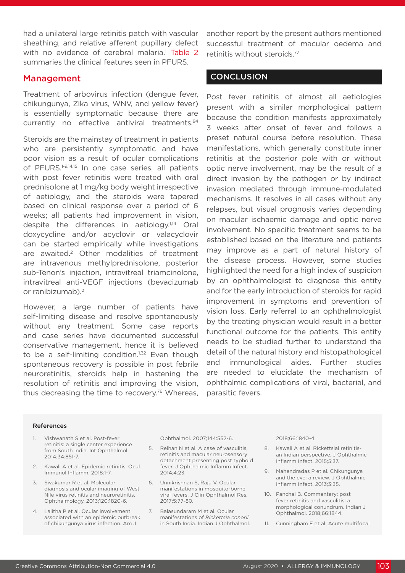had a unilateral large retinitis patch with vascular sheathing, and relative afferent pupillary defect with no evidence of cerebral malaria.<sup>1</sup> Table 2 summaries the clinical features seen in PFURS.

#### Management

Treatment of arbovirus infection (dengue fever, chikungunya, Zika virus, WNV, and yellow fever) is essentially symptomatic because there are currently no effective antiviral treatments.<sup>94</sup>

Steroids are the mainstay of treatment in patients who are persistently symptomatic and have poor vision as a result of ocular complications of PFURS.<sup>1-9,14,15</sup> In one case series, all patients with post fever retinitis were treated with oral prednisolone at 1 mg/kg body weight irrespective of aetiology, and the steroids were tapered based on clinical response over a period of 6 weeks; all patients had improvement in vision, despite the differences in aetiology.<sup>1,14</sup> Oral doxycycline and/or acyclovir or valacyclovir can be started empirically while investigations are awaited.2 Other modalities of treatment are intravenous methylprednisolone, posterior sub-Tenon's injection, intravitreal triamcinolone, intravitreal anti-VEGF injections (bevacizumab or ranibizumab).<sup>2</sup>

However, a large number of patients have self-limiting disease and resolve spontaneously without any treatment. Some case reports and case series have documented successful conservative management, hence it is believed to be a self-limiting condition.<sup>1,32</sup> Even though spontaneous recovery is possible in post febrile neuroretinitis, steroids help in hastening the resolution of retinitis and improving the vision, thus decreasing the time to recovery.<sup>76</sup> Whereas, another report by the present authors mentioned successful treatment of macular oedema and retinitis without steroids.77

#### **CONCLUSION**

Post fever retinitis of almost all aetiologies present with a similar morphological pattern because the condition manifests approximately 3 weeks after onset of fever and follows a preset natural course before resolution. These manifestations, which generally constitute inner retinitis at the posterior pole with or without optic nerve involvement, may be the result of a direct invasion by the pathogen or by indirect invasion mediated through immune-modulated mechanisms. It resolves in all cases without any relapses, but visual prognosis varies depending on macular ischaemic damage and optic nerve involvement. No specific treatment seems to be established based on the literature and patients may improve as a part of natural history of the disease process. However, some studies highlighted the need for a high index of suspicion by an ophthalmologist to diagnose this entity and for the early introduction of steroids for rapid improvement in symptoms and prevention of vision loss. Early referral to an ophthalmologist by the treating physician would result in a better functional outcome for the patients. This entity needs to be studied further to understand the detail of the natural history and histopathological and immunological aides. Further studies are needed to elucidate the mechanism of ophthalmic complications of viral, bacterial, and parasitic fevers.

#### References

- 1. Vishwanath S et al. Post-fever retinitis: a single center experience from South India. Int Ophthalmol. 2014;34:851-7.
- 2. Kawali A et al. Epidemic retinitis. Ocul Immunol Inflamm. 2018:1-7.
- 3. Sivakumar R et al. Molecular diagnosis and ocular imaging of West Nile virus retinitis and neuroretinitis. Ophthalmology. 2013;120:1820-6.
- 4. Lalitha P et al. Ocular involvement associated with an epidemic outbreak of chikungunya virus infection. Am J

Ophthalmol. 2007;144:552-6.

- 5. Relhan N et al. A case of vasculitis, retinitis and macular neurosensory detachment presenting post typhoid fever. J Ophthalmic Inflamm Infect. 2014;4:23.
- 6. Unnikrishnan S, Raju V. Ocular manifestations in mosquito-borne viral fevers. J Clin Ophthalmol Res. 2017;5:77-80.
- Balasundaram M et al. Ocular manifestations of *Rickettsia conorii*  in South India. Indian J Ophthalmol.

2018;66:1840-4.

- 8. Kawali A et al. Rickettsial retinitisan Indian perspective. J Ophthalmic Inflamm Infect. 2015;5:37.
- 9. Mahendradas P et al. Chikungunya and the eye: a review. J Ophthalmic Inflamm Infect. 2013;3:35.
- 10. Panchal B. Commentary: post fever retinitis and vasculitis: a morphological conundrum. Indian J Ophthalmol. 2018;66:1844.
- 11. Cunningham E et al. Acute multifocal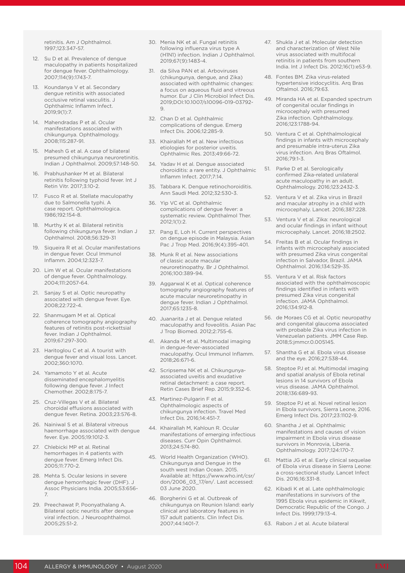retinitis. Am J Ophthalmol. 1997;123:347-57.

- 12. Su D et al. Prevalence of dengue maculopathy in patients hospitalized for dengue fever. Ophthalmology. 2007;114(9):1743-7.
- 13. Koundanya V et al. Secondary dengue retinitis with associated occlusive retinal vasculitis. J Ophthalmic Inflamm Infect. 2019;9(1):7.
- 14. Mahendradas P et al. Ocular manifestations associated with chikungunya. Ophthalmology. 2008;115:287-91.
- 15. Mahesh G et al. A case of bilateral presumed chikungunya neuroretinitis. Indian J Ophthalmol. 2009;57:148-50.
- 16. Prabhushanker M et al. Bilateral retinitis following typhoid fever. Int J Retin Vitr. 2017;3:10-2.
- 17. Fusco R et al. Stellate maculopathy due to Salmonella typhi. A case report. Ophthalmologica. 1986;192:154-8.
- 18. Murthy K et al. Bilateral retinitis following chikungunya fever. Indian J Ophthalmol. 2008;56:329-31
- 19. Siqueira R et al. Ocular manifestations in dengue fever. Ocul Immunol Inflamm. 2004;12:323-7.
- 20. Lim W et al. Ocular manifestations of dengue fever. Ophthalmology. 2004;111:2057-64.
- 21. Sanjay S et al. Optic neuropathy associated with dengue fever. Eye. 2008;22:722-4.
- 22. Shanmugam M et al. Optical coherence tomography angiography features of retinitis post-rickettsial fever. Indian J Ophthalmol. 2019;67:297-300.
- 23. Haritoglou C et al. A tourist with dengue fever and visual loss. Lancet. 2002;360:1070.
- 24. Yamamoto Y et al. Acute disseminated encephalomyelitis following dengue fever. J Infect Chemother. 2002;8:175-7.
- 25. Cruz-Villegas V et al. Bilateral choroidal effusions associated with dengue fever. Retina. 2003;23:576-8.
- 26. Nainiwal S et al. Bilateral vitreous haemorrhage associated with dengue fever. Eye. 2005;19:1012-3.
- 27. Chlebicki MP et al. Retinal hemorrhages in 4 patients with dengue fever. Emerg Infect Dis. 2005;11:770-2.
- 28. Mehta S. Ocular lesions in severe dengue hemorrhagic fever (DHF). J Assoc Physicians India. 2005;53:656- 7.
- 29. Preechawat P, Poonyathalang A. Bilateral optic neuritis after dengue viral infection. J Neuroophthalmol. 2005;25:51-2.
- 30. Menia NK et al. Fungal retinitis following influenza virus type A (H1N1) infection. Indian J Ophthalmol. 2019;67(9):1483-4.
- 31. da Silva PAN et al. Arboviruses (chikungunya, dengue, and Zika) associated with ophthalmic changes: a focus on aqueous fluid and vitreous humor. Eur J Clin Microbiol Infect Dis. 2019;DOI:10.1007/s10096-019-03792- 9.
- 32. Chan D et al. Ophthalmic complications of dengue. Emerg Infect Dis. 2006;12:285-9.
- 33. Khairallah M et al. New infectious etiologies for posterior uveitis. Ophthalmic Res. 2013;49:66-72.
- 34. Yadav H et al. Dengue associated choroiditis: a rare entity. J Ophthalmic Inflamm Infect. 2017;7:14.
- 35. Tabbara K. Dengue retinochoroiditis. Ann Saudi Med. 2012;32:530-3.
- 36. Yip VC et al. Ophthalmic complications of dengue fever: a systematic review. Ophthalmol Ther. 2012;1(1):2.
- 37. Pang E, Loh H. Current perspectives on dengue episode in Malaysia. Asian Pac J Trop Med. 2016;9(4):395-401.
- 38. Munk R et al. New associations of classic acute macular neuroretinopathy. Br J Ophthalmol. 2016;100:389-94.
- 39. Aggarwal K et al. Optical coherence tomography angiography features of acute macular neuroretinopathy in dengue fever. Indian J Ophthalmol. 2017;65:1235-8.
- 40. Juanarita J et al. Dengue related maculopathy and foveolitis. Asian Pac J Trop Biomed. 2012;2:755-6.
- 41. Akanda M et al. Multimodal imaging in dengue-fever-associated maculopathy. Ocul Immunol Inflamm. 2018;26:671-6.
- 42. Scripsema NK et al. Chikungunyaassociated uveitis and exudative retinal detachment: a case report. Retin Cases Brief Rep. 2015;9:352-6.
- 43. Martinez-Pulgarin F et al. Ophthalmologic aspects of chikungunya infection. Travel Med Infect Dis. 2016;14:451-7.
- 44. Khairallah M, Kahloun R. Ocular manifestations of emerging infectious diseases. Curr Opin Ophthalmol. 2013;24:574-80.
- 45. World Health Organization (WHO). Chikungunya and Dengue in the south west Indian Ocean. 2015. Available at: https://www.who.int/csr/ don/2006\_03\_17/en/. Last accessed: 03 June 2020.
- 46. Borgherini G et al. Outbreak of chikungunya on Reunion Island: early clinical and laboratory features in 157 adult patients. Clin Infect Dis. 2007;44:1401-7.
- 47. Shukla J et al. Molecular detection and characterization of West Nile virus associated with multifocal retinitis in patients from southern India. Int J Infect Dis. 2012;16(1):e53-9.
- 48. Fontes BM. Zika virus-related hypertensive iridocyclitis. Arq Bras Oftalmol. 2016;79:63.
- 49. Miranda HA et al. Expanded spectrum of congenital ocular findings in microcephaly with presumed Zika infection. Ophthalmology. 2016;123:1788-94.
- 50. Ventura C et al. Ophthalmological findings in infants with microcephaly and presumable intra-uterus Zika virus infection. Arq Bras Oftalmol. 2016;79:1-3.
- 51. Parke D et al. Serologically confirmed Zika-related unilateral acute maculopathy in an adult. Ophthalmology. 2016;123:2432-3.
- 52. Ventura V et al. Zika virus in Brazil and macular atrophy in a child with microcephaly. Lancet. 2016;387:228.
- 53. Ventura V et al. Zika: neurological and ocular findings in infant without microcephaly. Lancet. 2016;18:2502.
- 54. Freitas B et al. Ocular findings in infants with microcephaly associated with presumed Zika virus congenital infection in Salvador, Brazil. JAMA Ophthalmol. 2016;134:529-35.
- 55. Ventura V et al. Risk factors associated with the ophthalmoscopic findings identified in infants with presumed Zika virus congenital infection. JAMA Ophthalmol. 2016;134:912-8.
- 56. de Moraes CG et al. Optic neuropathy and congenital glaucoma associated with probable Zika virus infection in Venezuelan patients. JMM Case Rep. 2018;5:jmmcr.0.005145.
- 57. Shantha G et al. Ebola virus disease and the eye. 2016;27:538-44.
- 58. Steptoe PJ et al. Multimodal imaging and spatial analysis of Ebola retinal lesions in 14 survivors of Ebola virus disease. JAMA Ophthalmol. 2018;136:689-93.
- 59. Steptoe PJ et al. Novel retinal lesion in Ebola survivors, Sierra Leone, 2016. Emerg Infect Dis. 2017;23:1102-9.
- 60. Shantha J et al. Ophthalmic manifestations and causes of vision impairment in Ebola virus disease survivors in Monrovia, Liberia. Ophthalmology. 2017;124:170-7.
- 61. Mattia JG et al. Early clinical sequelae of Ebola virus disease in Sierra Leone: a cross-sectional study. Lancet Infect Dis. 2016;16:331-8.
- 62. Kibadi K et al. Late ophthalmologic manifestations in survivors of the 1995 Ebola virus epidemic in Kikwit, Democratic Republic of the Congo. J Infect Dis. 1999;179:13-4.
- 63. Rabon J et al. Acute bilateral